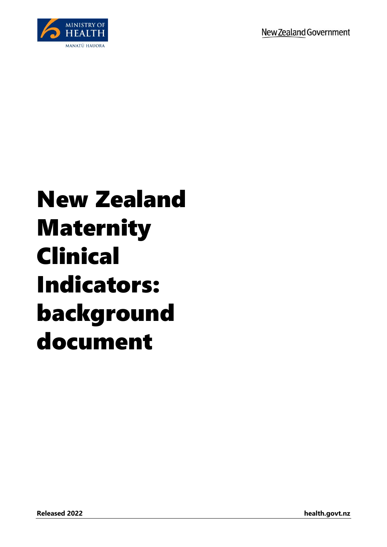

## New Zealand Maternity Clinical Indicators: background document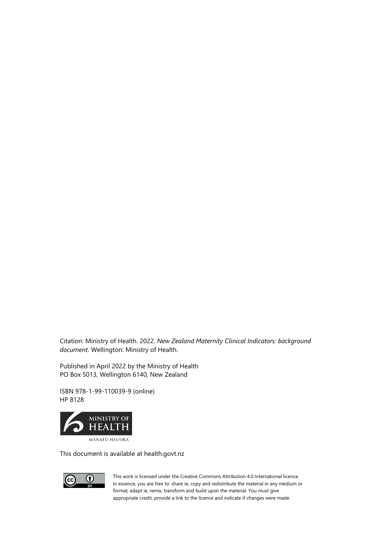Citation: Ministry of Health. 2022. *New Zealand Maternity Clinical Indicators: background document*. Wellington: Ministry of Health.

Published in April 2022 by the Ministry of Health PO Box 5013, Wellington 6140, New Zealand

ISBN 978-1-99-110039-9 (online) HP 8128



This document is available at health.govt.nz



This work is licensed under the Creative Commons Attribution 4.0 International licence. In essence, you are free to: share ie, copy and redistribute the material in any medium or format; adapt ie, remix, transform and build upon the material. You must give appropriate credit, provide a link to the licence and indicate if changes were made.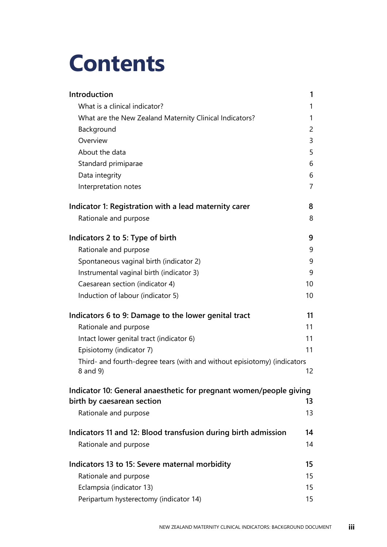## **Contents**

| Introduction                                                                         | 1  |
|--------------------------------------------------------------------------------------|----|
| What is a clinical indicator?                                                        | 1  |
| What are the New Zealand Maternity Clinical Indicators?                              | 1  |
| Background                                                                           | 2  |
| Overview                                                                             | 3  |
| About the data                                                                       | 5  |
| Standard primiparae                                                                  | 6  |
| Data integrity                                                                       | 6  |
| Interpretation notes                                                                 | 7  |
| Indicator 1: Registration with a lead maternity carer                                | 8  |
| Rationale and purpose                                                                | 8  |
| Indicators 2 to 5: Type of birth                                                     | 9  |
| Rationale and purpose                                                                | 9  |
| Spontaneous vaginal birth (indicator 2)                                              | 9  |
| Instrumental vaginal birth (indicator 3)                                             | 9  |
| Caesarean section (indicator 4)                                                      | 10 |
| Induction of labour (indicator 5)                                                    | 10 |
| Indicators 6 to 9: Damage to the lower genital tract                                 | 11 |
| Rationale and purpose                                                                | 11 |
| Intact lower genital tract (indicator 6)                                             | 11 |
| Episiotomy (indicator 7)                                                             | 11 |
| Third- and fourth-degree tears (with and without episiotomy) (indicators<br>8 and 9) | 12 |
| Indicator 10: General anaesthetic for pregnant women/people giving                   |    |
| birth by caesarean section                                                           | 13 |
| Rationale and purpose                                                                | 13 |
| Indicators 11 and 12: Blood transfusion during birth admission                       | 14 |
| Rationale and purpose                                                                | 14 |
| Indicators 13 to 15: Severe maternal morbidity                                       | 15 |
| Rationale and purpose                                                                | 15 |
| Eclampsia (indicator 13)                                                             | 15 |
| Peripartum hysterectomy (indicator 14)                                               | 15 |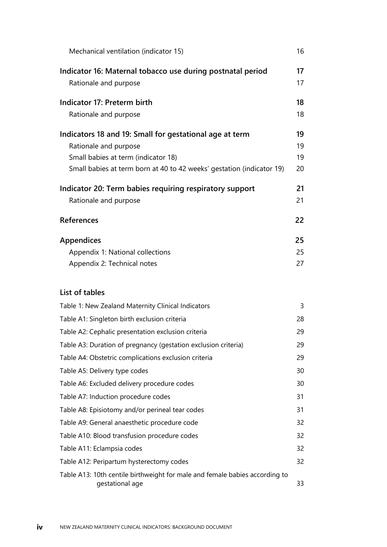| Mechanical ventilation (indicator 15)                                                                                                                                                            | 16                   |
|--------------------------------------------------------------------------------------------------------------------------------------------------------------------------------------------------|----------------------|
| Indicator 16: Maternal tobacco use during postnatal period<br>Rationale and purpose                                                                                                              | 17<br>17             |
| Indicator 17: Preterm birth<br>Rationale and purpose                                                                                                                                             | 18<br>18             |
| Indicators 18 and 19: Small for gestational age at term<br>Rationale and purpose<br>Small babies at term (indicator 18)<br>Small babies at term born at 40 to 42 weeks' gestation (indicator 19) | 19<br>19<br>19<br>20 |
| Indicator 20: Term babies requiring respiratory support<br>Rationale and purpose                                                                                                                 | 21<br>21             |
| <b>References</b>                                                                                                                                                                                | 22                   |
| <b>Appendices</b><br>Appendix 1: National collections<br>Appendix 2: Technical notes                                                                                                             | 25<br>25<br>27       |
| List of tables                                                                                                                                                                                   |                      |
| Table 1: New Zealand Maternity Clinical Indicators                                                                                                                                               | 3                    |
| Table A1: Singleton birth exclusion criteria                                                                                                                                                     | 28                   |
| Table A2: Cephalic presentation exclusion criteria                                                                                                                                               | 29                   |
| Table A3: Duration of pregnancy (gestation exclusion criteria)                                                                                                                                   | 29                   |
| Table A4: Obstetric complications exclusion criteria                                                                                                                                             | 29                   |
| Table A5: Delivery type codes                                                                                                                                                                    | 30                   |
| Table A6: Excluded delivery procedure codes                                                                                                                                                      | 30                   |
| Table A7: Induction procedure codes                                                                                                                                                              | 31                   |
| Table A8: Episiotomy and/or perineal tear codes                                                                                                                                                  | 31                   |
| Table A9: General anaesthetic procedure code                                                                                                                                                     | 32                   |
| Table A10: Blood transfusion procedure codes                                                                                                                                                     | 32                   |
| Table A11: Eclampsia codes                                                                                                                                                                       | 32                   |
| Table A12: Peripartum hysterectomy codes                                                                                                                                                         | 32                   |
| Table A13: 10th centile birthweight for male and female babies according to<br>gestational age                                                                                                   | 33                   |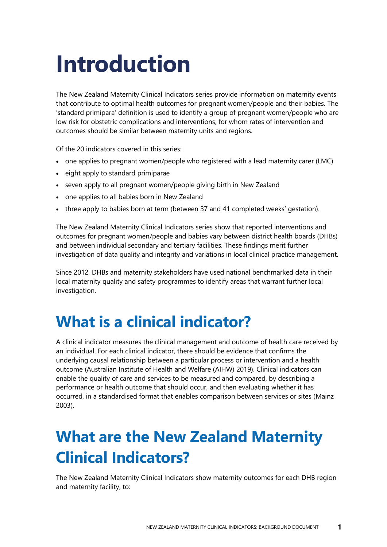## <span id="page-4-0"></span>**Introduction**

The New Zealand Maternity Clinical Indicators series provide information on maternity events that contribute to optimal health outcomes for pregnant women/people and their babies. The 'standard primipara' definition is used to identify a group of pregnant women/people who are low risk for obstetric complications and interventions, for whom rates of intervention and outcomes should be similar between maternity units and regions.

Of the 20 indicators covered in this series:

- one applies to pregnant women/people who registered with a lead maternity carer (LMC)
- eight apply to standard primiparae
- seven apply to all pregnant women/people giving birth in New Zealand
- one applies to all babies born in New Zealand
- three apply to babies born at term (between 37 and 41 completed weeks' gestation).

The New Zealand Maternity Clinical Indicators series show that reported interventions and outcomes for pregnant women/people and babies vary between district health boards (DHBs) and between individual secondary and tertiary facilities. These findings merit further investigation of data quality and integrity and variations in local clinical practice management.

Since 2012, DHBs and maternity stakeholders have used national benchmarked data in their local maternity quality and safety programmes to identify areas that warrant further local investigation.

### <span id="page-4-1"></span>**What is a clinical indicator?**

A clinical indicator measures the clinical management and outcome of health care received by an individual. For each clinical indicator, there should be evidence that confirms the underlying causal relationship between a particular process or intervention and a health outcome (Australian Institute of Health and Welfare (AIHW) 2019). Clinical indicators can enable the quality of care and services to be measured and compared, by describing a performance or health outcome that should occur, and then evaluating whether it has occurred, in a standardised format that enables comparison between services or sites (Mainz 2003).

## <span id="page-4-2"></span>**What are the New Zealand Maternity Clinical Indicators?**

The New Zealand Maternity Clinical Indicators show maternity outcomes for each DHB region and maternity facility, to: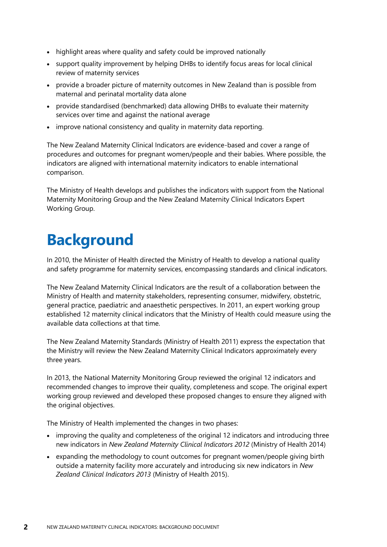- highlight areas where quality and safety could be improved nationally
- support quality improvement by helping DHBs to identify focus areas for local clinical review of maternity services
- provide a broader picture of maternity outcomes in New Zealand than is possible from maternal and perinatal mortality data alone
- provide standardised (benchmarked) data allowing DHBs to evaluate their maternity services over time and against the national average
- improve national consistency and quality in maternity data reporting.

The New Zealand Maternity Clinical Indicators are evidence-based and cover a range of procedures and outcomes for pregnant women/people and their babies. Where possible, the indicators are aligned with international maternity indicators to enable international comparison.

The Ministry of Health develops and publishes the indicators with support from the National Maternity Monitoring Group and the New Zealand Maternity Clinical Indicators Expert Working Group.

## <span id="page-5-0"></span>**Background**

In 2010, the Minister of Health directed the Ministry of Health to develop a national quality and safety programme for maternity services, encompassing standards and clinical indicators.

The New Zealand Maternity Clinical Indicators are the result of a collaboration between the Ministry of Health and maternity stakeholders, representing consumer, midwifery, obstetric, general practice, paediatric and anaesthetic perspectives. In 2011, an expert working group established 12 maternity clinical indicators that the Ministry of Health could measure using the available data collections at that time.

The New Zealand Maternity Standards (Ministry of Health 2011) express the expectation that the Ministry will review the New Zealand Maternity Clinical Indicators approximately every three years.

In 2013, the National Maternity Monitoring Group reviewed the original 12 indicators and recommended changes to improve their quality, completeness and scope. The original expert working group reviewed and developed these proposed changes to ensure they aligned with the original objectives.

The Ministry of Health implemented the changes in two phases:

- improving the quality and completeness of the original 12 indicators and introducing three new indicators in *New Zealand Maternity Clinical Indicators 2012* (Ministry of Health 2014)
- expanding the methodology to count outcomes for pregnant women/people giving birth outside a maternity facility more accurately and introducing six new indicators in *New Zealand Clinical Indicators 2013* (Ministry of Health 2015).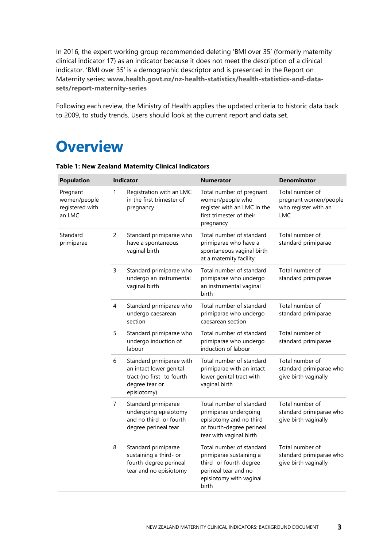In 2016, the expert working group recommended deleting 'BMI over 35' (formerly maternity clinical indicator 17) as an indicator because it does not meet the description of a clinical indicator. 'BMI over 35' is a demographic descriptor and is presented in the Report on Maternity series: **[www.health.govt.nz/nz-health-statistics/health-statistics-and-data](http://www.health.govt.nz/nz-health-statistics/health-statistics-and-data-sets/report-maternity-series)[sets/report-maternity-series](http://www.health.govt.nz/nz-health-statistics/health-statistics-and-data-sets/report-maternity-series)**

Following each review, the Ministry of Health applies the updated criteria to historic data back to 2009, to study trends. Users should look at the current report and data set.

### <span id="page-6-0"></span>**Overview**

| <b>Population</b>                                     |   | Indicator                                                                                                           | <b>Numerator</b>                                                                                                                           | <b>Denominator</b>                                                             |
|-------------------------------------------------------|---|---------------------------------------------------------------------------------------------------------------------|--------------------------------------------------------------------------------------------------------------------------------------------|--------------------------------------------------------------------------------|
| Pregnant<br>women/people<br>registered with<br>an LMC | 1 | Registration with an LMC<br>in the first trimester of<br>pregnancy                                                  | Total number of pregnant<br>women/people who<br>register with an LMC in the<br>first trimester of their<br>pregnancy                       | Total number of<br>pregnant women/people<br>who register with an<br><b>LMC</b> |
| Standard<br>primiparae                                | 2 | Standard primiparae who<br>have a spontaneous<br>vaginal birth                                                      | Total number of standard<br>primiparae who have a<br>spontaneous vaginal birth<br>at a maternity facility                                  | Total number of<br>standard primiparae                                         |
|                                                       | 3 | Standard primiparae who<br>undergo an instrumental<br>vaginal birth                                                 | Total number of standard<br>primiparae who undergo<br>an instrumental vaginal<br>birth                                                     | Total number of<br>standard primiparae                                         |
|                                                       | 4 | Standard primiparae who<br>undergo caesarean<br>section                                                             | Total number of standard<br>primiparae who undergo<br>caesarean section                                                                    | Total number of<br>standard primiparae                                         |
|                                                       | 5 | Standard primiparae who<br>undergo induction of<br>labour                                                           | Total number of standard<br>primiparae who undergo<br>induction of labour                                                                  | Total number of<br>standard primiparae                                         |
|                                                       | 6 | Standard primiparae with<br>an intact lower genital<br>tract (no first- to fourth-<br>degree tear or<br>episiotomy) | Total number of standard<br>primiparae with an intact<br>lower genital tract with<br>vaginal birth                                         | Total number of<br>standard primiparae who<br>give birth vaginally             |
|                                                       | 7 | Standard primiparae<br>undergoing episiotomy<br>and no third- or fourth-<br>degree perineal tear                    | Total number of standard<br>primiparae undergoing<br>episiotomy and no third-<br>or fourth-degree perineal<br>tear with vaginal birth      | Total number of<br>standard primiparae who<br>give birth vaginally             |
|                                                       | 8 | Standard primiparae<br>sustaining a third- or<br>fourth-degree perineal<br>tear and no episiotomy                   | Total number of standard<br>primiparae sustaining a<br>third- or fourth-degree<br>perineal tear and no<br>episiotomy with vaginal<br>birth | Total number of<br>standard primiparae who<br>give birth vaginally             |

<span id="page-6-1"></span>**Table 1: New Zealand Maternity Clinical Indicators**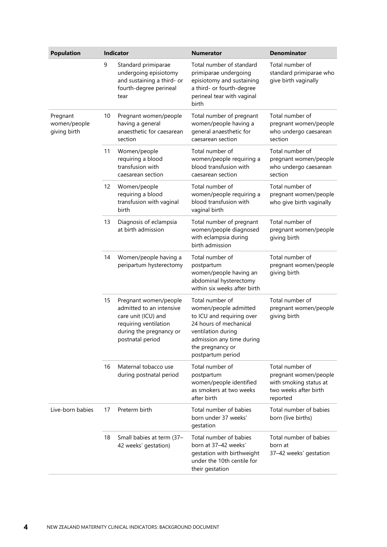| <b>Population</b>                        |    | Indicator                                                                                                                                        | <b>Numerator</b>                                                                                                                                                                            | <b>Denominator</b>                                                                                      |
|------------------------------------------|----|--------------------------------------------------------------------------------------------------------------------------------------------------|---------------------------------------------------------------------------------------------------------------------------------------------------------------------------------------------|---------------------------------------------------------------------------------------------------------|
|                                          | 9  | Standard primiparae<br>undergoing episiotomy<br>and sustaining a third- or<br>fourth-degree perineal<br>tear                                     | Total number of standard<br>primiparae undergoing<br>episiotomy and sustaining<br>a third- or fourth-degree<br>perineal tear with vaginal<br>birth                                          | Total number of<br>standard primiparae who<br>give birth vaginally                                      |
| Pregnant<br>women/people<br>giving birth | 10 | Pregnant women/people<br>having a general<br>anaesthetic for caesarean<br>section                                                                | Total number of pregnant<br>women/people having a<br>general anaesthetic for<br>caesarean section                                                                                           | Total number of<br>pregnant women/people<br>who undergo caesarean<br>section                            |
|                                          | 11 | Women/people<br>requiring a blood<br>transfusion with<br>caesarean section                                                                       | Total number of<br>women/people requiring a<br>blood transfusion with<br>caesarean section                                                                                                  | Total number of<br>pregnant women/people<br>who undergo caesarean<br>section                            |
|                                          | 12 | Women/people<br>requiring a blood<br>transfusion with vaginal<br>birth                                                                           | Total number of<br>women/people requiring a<br>blood transfusion with<br>vaginal birth                                                                                                      | Total number of<br>pregnant women/people<br>who give birth vaginally                                    |
|                                          | 13 | Diagnosis of eclampsia<br>at birth admission                                                                                                     | Total number of pregnant<br>women/people diagnosed<br>with eclampsia during<br>birth admission                                                                                              | Total number of<br>pregnant women/people<br>giving birth                                                |
|                                          | 14 | Women/people having a<br>peripartum hysterectomy                                                                                                 | Total number of<br>postpartum<br>women/people having an<br>abdominal hysterectomy<br>within six weeks after birth                                                                           | Total number of<br>pregnant women/people<br>giving birth                                                |
|                                          | 15 | Pregnant women/people<br>admitted to an intensive<br>care unit (ICU) and<br>requiring ventilation<br>during the pregnancy or<br>postnatal period | Total number of<br>women/people admitted<br>to ICU and requiring over<br>24 hours of mechanical<br>ventilation during<br>admission any time during<br>the pregnancy or<br>postpartum period | Total number of<br>pregnant women/people<br>giving birth                                                |
|                                          | 16 | Maternal tobacco use<br>during postnatal period                                                                                                  | Total number of<br>postpartum<br>women/people identified<br>as smokers at two weeks<br>after birth                                                                                          | Total number of<br>pregnant women/people<br>with smoking status at<br>two weeks after birth<br>reported |
| Live-born babies                         | 17 | Preterm birth                                                                                                                                    | Total number of babies<br>born under 37 weeks'<br>gestation                                                                                                                                 | Total number of babies<br>born (live births)                                                            |
|                                          | 18 | Small babies at term (37-<br>42 weeks' gestation)                                                                                                | Total number of babies<br>born at 37-42 weeks'<br>gestation with birthweight<br>under the 10th centile for<br>their gestation                                                               | Total number of babies<br>born at<br>37-42 weeks' gestation                                             |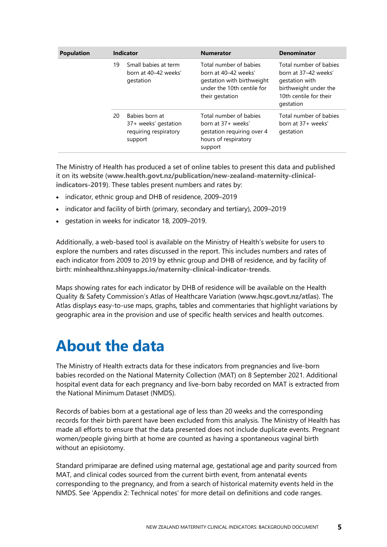| <b>Population</b> |    | <b>Indicator</b>                                                           | <b>Numerator</b>                                                                                                              | <b>Denominator</b>                                                                                                               |
|-------------------|----|----------------------------------------------------------------------------|-------------------------------------------------------------------------------------------------------------------------------|----------------------------------------------------------------------------------------------------------------------------------|
|                   | 19 | Small babies at term<br>born at 40-42 weeks'<br>gestation                  | Total number of babies<br>horn at 40–42 weeks'<br>gestation with birthweight<br>under the 10th centile for<br>their gestation | Total number of babies<br>born at 37-42 weeks'<br>gestation with<br>birthweight under the<br>10th centile for their<br>gestation |
|                   | 20 | Babies born at<br>37+ weeks' gestation<br>requiring respiratory<br>support | Total number of babies<br>born at 37+ weeks'<br>gestation requiring over 4<br>hours of respiratory<br>support                 | Total number of babies<br>born at 37+ weeks'<br>gestation                                                                        |

The Ministry of Health has produced a set of online tables to present this data and published it on its website (**[www.health.govt.nz/publication/new-zealand-maternity-clinical](http://www.health.govt.nz/publication/new-zealand-maternity-clinical-indicators-2019)[indicators-2019](http://www.health.govt.nz/publication/new-zealand-maternity-clinical-indicators-2019)**). These tables present numbers and rates by:

- indicator, ethnic group and DHB of residence, 2009–2019
- indicator and facility of birth (primary, secondary and tertiary), 2009–2019
- gestation in weeks for indicator 18, 2009–2019.

Additionally, a web-based tool is available on the Ministry of Health's website for users to explore the numbers and rates discussed in the report. This includes numbers and rates of each indicator from 2009 to 2019 by ethnic group and DHB of residence, and by facility of birth: **[minhealthnz.shinyapps.io/maternity-clinical-indicator-trends](https://minhealthnz.shinyapps.io/maternity-clinical-indicator-trends/)**.

Maps showing rates for each indicator by DHB of residence will be available on the Health Quality & Safety Commission's Atlas of Healthcare Variation (**[www.hqsc.govt.nz/atlas](http://www.hqsc.govt.nz/atlas)**). The Atlas displays easy-to-use maps, graphs, tables and commentaries that highlight variations by geographic area in the provision and use of specific health services and health outcomes.

### <span id="page-8-0"></span>**About the data**

The Ministry of Health extracts data for these indicators from pregnancies and live-born babies recorded on the National Maternity Collection (MAT) on 8 September 2021. Additional hospital event data for each pregnancy and live-born baby recorded on MAT is extracted from the National Minimum Dataset (NMDS).

Records of babies born at a gestational age of less than 20 weeks and the corresponding records for their birth parent have been excluded from this analysis. The Ministry of Health has made all efforts to ensure that the data presented does not include duplicate events. Pregnant women/people giving birth at home are counted as having a spontaneous vaginal birth without an episiotomy.

Standard primiparae are defined using maternal age, gestational age and parity sourced from MAT, and clinical codes sourced from the current birth event, from antenatal events corresponding to the pregnancy, and from a search of historical maternity events held in the NMDS. See 'Appendix 2: Technical notes' for more detail on definitions and code ranges.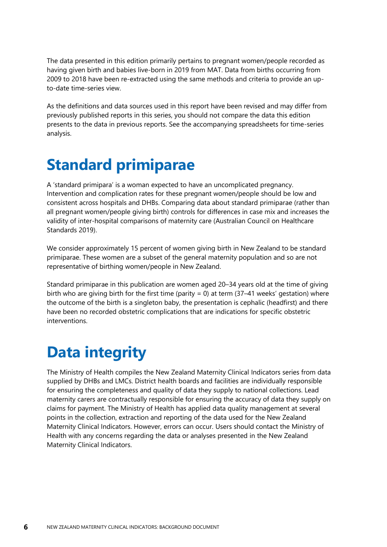The data presented in this edition primarily pertains to pregnant women/people recorded as having given birth and babies live-born in 2019 from MAT. Data from births occurring from 2009 to 2018 have been re-extracted using the same methods and criteria to provide an upto-date time-series view.

As the definitions and data sources used in this report have been revised and may differ from previously published reports in this series, you should not compare the data this edition presents to the data in previous reports. See the accompanying spreadsheets for time-series analysis.

## <span id="page-9-0"></span>**Standard primiparae**

A 'standard primipara' is a woman expected to have an uncomplicated pregnancy. Intervention and complication rates for these pregnant women/people should be low and consistent across hospitals and DHBs. Comparing data about standard primiparae (rather than all pregnant women/people giving birth) controls for differences in case mix and increases the validity of inter-hospital comparisons of maternity care (Australian Council on Healthcare Standards 2019).

We consider approximately 15 percent of women giving birth in New Zealand to be standard primiparae. These women are a subset of the general maternity population and so are not representative of birthing women/people in New Zealand.

Standard primiparae in this publication are women aged 20–34 years old at the time of giving birth who are giving birth for the first time (parity  $= 0$ ) at term (37–41 weeks' gestation) where the outcome of the birth is a singleton baby, the presentation is cephalic (headfirst) and there have been no recorded obstetric complications that are indications for specific obstetric interventions.

## <span id="page-9-1"></span>**Data integrity**

The Ministry of Health compiles the New Zealand Maternity Clinical Indicators series from data supplied by DHBs and LMCs. District health boards and facilities are individually responsible for ensuring the completeness and quality of data they supply to national collections. Lead maternity carers are contractually responsible for ensuring the accuracy of data they supply on claims for payment. The Ministry of Health has applied data quality management at several points in the collection, extraction and reporting of the data used for the New Zealand Maternity Clinical Indicators. However, errors can occur. Users should contact the Ministry of Health with any concerns regarding the data or analyses presented in the New Zealand Maternity Clinical Indicators.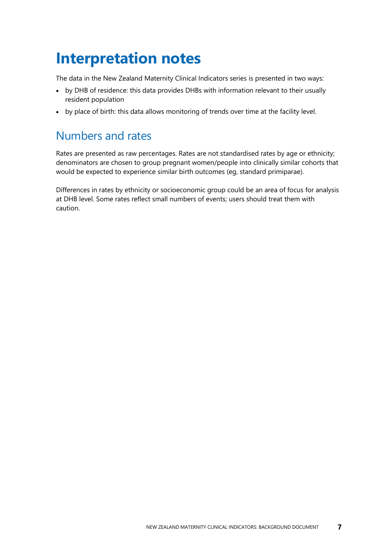## <span id="page-10-0"></span>**Interpretation notes**

The data in the New Zealand Maternity Clinical Indicators series is presented in two ways:

- by DHB of residence: this data provides DHBs with information relevant to their usually resident population
- by place of birth: this data allows monitoring of trends over time at the facility level.

### Numbers and rates

Rates are presented as raw percentages. Rates are not standardised rates by age or ethnicity; denominators are chosen to group pregnant women/people into clinically similar cohorts that would be expected to experience similar birth outcomes (eg, standard primiparae).

Differences in rates by ethnicity or socioeconomic group could be an area of focus for analysis at DHB level. Some rates reflect small numbers of events; users should treat them with caution.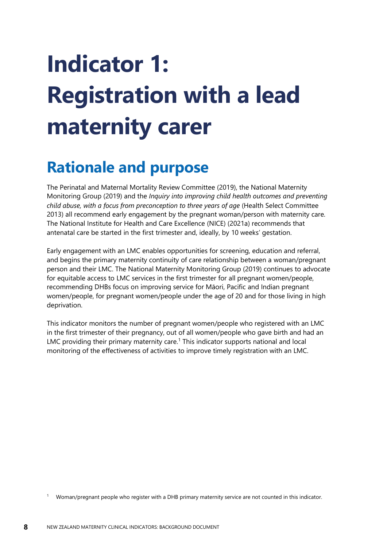# <span id="page-11-0"></span>**Indicator 1: Registration with a lead maternity carer**

### <span id="page-11-1"></span>**Rationale and purpose**

The Perinatal and Maternal Mortality Review Committee (2019), the National Maternity Monitoring Group (2019) and the *Inquiry into improving child health outcomes and preventing child abuse, with a focus from preconception to three years of age* (Health Select Committee 2013) all recommend early engagement by the pregnant woman/person with maternity care. The National Institute for Health and Care Excellence (NICE) (2021a) recommends that antenatal care be started in the first trimester and, ideally, by 10 weeks' gestation.

Early engagement with an LMC enables opportunities for screening, education and referral, and begins the primary maternity continuity of care relationship between a woman/pregnant person and their LMC. The National Maternity Monitoring Group (2019) continues to advocate for equitable access to LMC services in the first trimester for all pregnant women/people, recommending DHBs focus on improving service for Māori, Pacific and Indian pregnant women/people, for pregnant women/people under the age of 20 and for those living in high deprivation.

This indicator monitors the number of pregnant women/people who registered with an LMC in the first trimester of their pregnancy, out of all women/people who gave birth and had an LMC providing their primary maternity care.<sup>1</sup> This indicator supports national and local monitoring of the effectiveness of activities to improve timely registration with an LMC.

<sup>1</sup> Woman/pregnant people who register with a DHB primary maternity service are not counted in this indicator.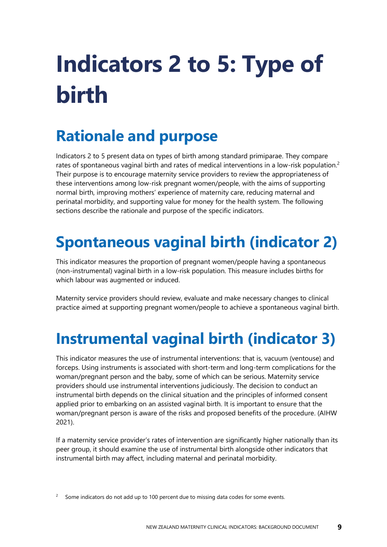# <span id="page-12-0"></span>**Indicators 2 to 5: Type of birth**

## <span id="page-12-1"></span>**Rationale and purpose**

Indicators 2 to 5 present data on types of birth among standard primiparae. They compare rates of spontaneous vaginal birth and rates of medical interventions in a low-risk population.<sup>2</sup> Their purpose is to encourage maternity service providers to review the appropriateness of these interventions among low-risk pregnant women/people, with the aims of supporting normal birth, improving mothers' experience of maternity care, reducing maternal and perinatal morbidity, and supporting value for money for the health system. The following sections describe the rationale and purpose of the specific indicators.

## <span id="page-12-2"></span>**Spontaneous vaginal birth (indicator 2)**

This indicator measures the proportion of pregnant women/people having a spontaneous (non-instrumental) vaginal birth in a low-risk population. This measure includes births for which labour was augmented or induced.

Maternity service providers should review, evaluate and make necessary changes to clinical practice aimed at supporting pregnant women/people to achieve a spontaneous vaginal birth.

## <span id="page-12-3"></span>**Instrumental vaginal birth (indicator 3)**

This indicator measures the use of instrumental interventions: that is, vacuum (ventouse) and forceps. Using instruments is associated with short-term and long-term complications for the woman/pregnant person and the baby, some of which can be serious. Maternity service providers should use instrumental interventions judiciously. The decision to conduct an instrumental birth depends on the clinical situation and the principles of informed consent applied prior to embarking on an assisted vaginal birth. It is important to ensure that the woman/pregnant person is aware of the risks and proposed benefits of the procedure. (AIHW 2021).

If a maternity service provider's rates of intervention are significantly higher nationally than its peer group, it should examine the use of instrumental birth alongside other indicators that instrumental birth may affect, including maternal and perinatal morbidity.

<sup>2</sup> Some indicators do not add up to 100 percent due to missing data codes for some events.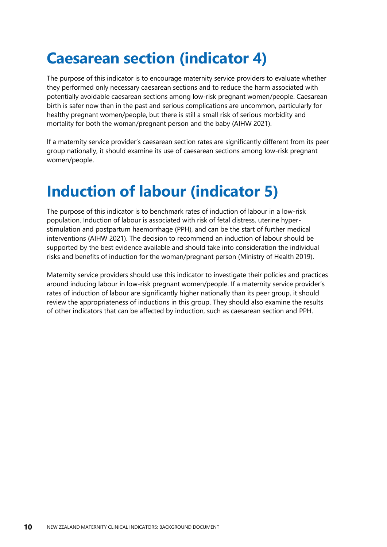## <span id="page-13-0"></span>**Caesarean section (indicator 4)**

The purpose of this indicator is to encourage maternity service providers to evaluate whether they performed only necessary caesarean sections and to reduce the harm associated with potentially avoidable caesarean sections among low-risk pregnant women/people. Caesarean birth is safer now than in the past and serious complications are uncommon, particularly for healthy pregnant women/people, but there is still a small risk of serious morbidity and mortality for both the woman/pregnant person and the baby (AIHW 2021).

If a maternity service provider's caesarean section rates are significantly different from its peer group nationally, it should examine its use of caesarean sections among low-risk pregnant women/people.

## <span id="page-13-1"></span>**Induction of labour (indicator 5)**

The purpose of this indicator is to benchmark rates of induction of labour in a low-risk population. Induction of labour is associated with risk of fetal distress, uterine hyperstimulation and postpartum haemorrhage (PPH), and can be the start of further medical interventions (AIHW 2021). The decision to recommend an induction of labour should be supported by the best evidence available and should take into consideration the individual risks and benefits of induction for the woman/pregnant person (Ministry of Health 2019).

Maternity service providers should use this indicator to investigate their policies and practices around inducing labour in low-risk pregnant women/people. If a maternity service provider's rates of induction of labour are significantly higher nationally than its peer group, it should review the appropriateness of inductions in this group. They should also examine the results of other indicators that can be affected by induction, such as caesarean section and PPH.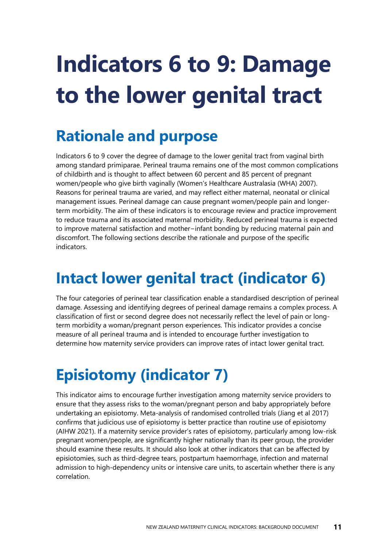# <span id="page-14-0"></span>**Indicators 6 to 9: Damage to the lower genital tract**

## <span id="page-14-1"></span>**Rationale and purpose**

Indicators 6 to 9 cover the degree of damage to the lower genital tract from vaginal birth among standard primiparae. Perineal trauma remains one of the most common complications of childbirth and is thought to affect between 60 percent and 85 percent of pregnant women/people who give birth vaginally (Women's Healthcare Australasia (WHA) 2007). Reasons for perineal trauma are varied, and may reflect either maternal, neonatal or clinical management issues. Perineal damage can cause pregnant women/people pain and longerterm morbidity. The aim of these indicators is to encourage review and practice improvement to reduce trauma and its associated maternal morbidity. Reduced perineal trauma is expected to improve maternal satisfaction and mother−infant bonding by reducing maternal pain and discomfort. The following sections describe the rationale and purpose of the specific indicators.

## <span id="page-14-2"></span>**Intact lower genital tract (indicator 6)**

The four categories of perineal tear classification enable a standardised description of perineal damage. Assessing and identifying degrees of perineal damage remains a complex process. A classification of first or second degree does not necessarily reflect the level of pain or longterm morbidity a woman/pregnant person experiences. This indicator provides a concise measure of all perineal trauma and is intended to encourage further investigation to determine how maternity service providers can improve rates of intact lower genital tract.

## <span id="page-14-3"></span>**Episiotomy (indicator 7)**

This indicator aims to encourage further investigation among maternity service providers to ensure that they assess risks to the woman/pregnant person and baby appropriately before undertaking an episiotomy. Meta-analysis of randomised controlled trials (Jiang et al 2017) confirms that judicious use of episiotomy is better practice than routine use of episiotomy (AIHW 2021). If a maternity service provider's rates of episiotomy, particularly among low-risk pregnant women/people, are significantly higher nationally than its peer group, the provider should examine these results. It should also look at other indicators that can be affected by episiotomies, such as third-degree tears, postpartum haemorrhage, infection and maternal admission to high-dependency units or intensive care units, to ascertain whether there is any correlation.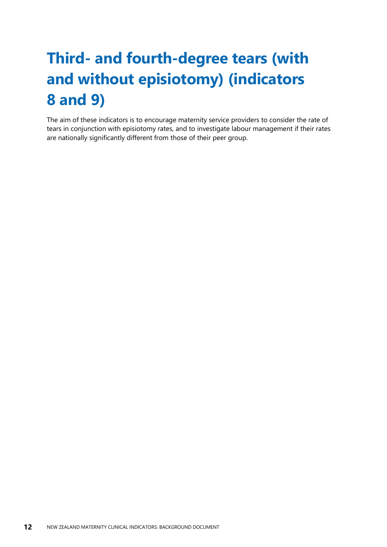## <span id="page-15-0"></span>**Third- and fourth-degree tears (with and without episiotomy) (indicators 8 and 9)**

The aim of these indicators is to encourage maternity service providers to consider the rate of tears in conjunction with episiotomy rates, and to investigate labour management if their rates are nationally significantly different from those of their peer group.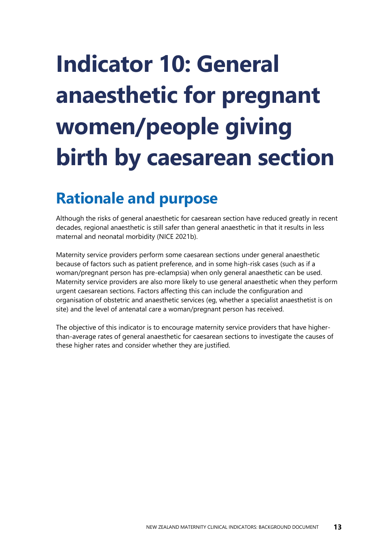# <span id="page-16-0"></span>**Indicator 10: General anaesthetic for pregnant women/people giving birth by caesarean section**

## <span id="page-16-1"></span>**Rationale and purpose**

Although the risks of general anaesthetic for caesarean section have reduced greatly in recent decades, regional anaesthetic is still safer than general anaesthetic in that it results in less maternal and neonatal morbidity (NICE 2021b).

Maternity service providers perform some caesarean sections under general anaesthetic because of factors such as patient preference, and in some high-risk cases (such as if a woman/pregnant person has pre-eclampsia) when only general anaesthetic can be used. Maternity service providers are also more likely to use general anaesthetic when they perform urgent caesarean sections. Factors affecting this can include the configuration and organisation of obstetric and anaesthetic services (eg, whether a specialist anaesthetist is on site) and the level of antenatal care a woman/pregnant person has received.

The objective of this indicator is to encourage maternity service providers that have higherthan-average rates of general anaesthetic for caesarean sections to investigate the causes of these higher rates and consider whether they are justified.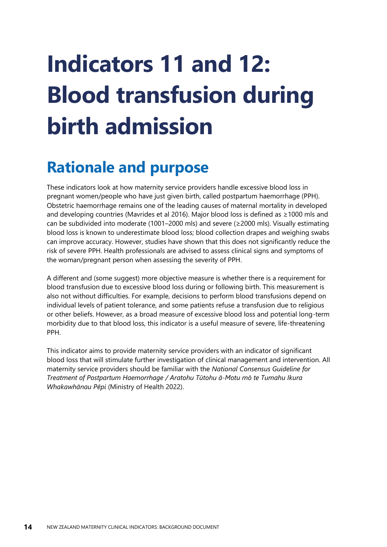# <span id="page-17-0"></span>**Indicators 11 and 12: Blood transfusion during birth admission**

### <span id="page-17-1"></span>**Rationale and purpose**

These indicators look at how maternity service providers handle excessive blood loss in pregnant women/people who have just given birth, called postpartum haemorrhage (PPH). Obstetric haemorrhage remains one of the leading causes of maternal mortality in developed and developing countries (Mavrides et al 2016). Major blood loss is defined as ≥1000 mls and can be subdivided into moderate (1001–2000 mls) and severe (≥2000 mls). Visually estimating blood loss is known to underestimate blood loss; blood collection drapes and weighing swabs can improve accuracy. However, studies have shown that this does not significantly reduce the risk of severe PPH. Health professionals are advised to assess clinical signs and symptoms of the woman/pregnant person when assessing the severity of PPH.

A different and (some suggest) more objective measure is whether there is a requirement for blood transfusion due to excessive blood loss during or following birth. This measurement is also not without difficulties. For example, decisions to perform blood transfusions depend on individual levels of patient tolerance, and some patients refuse a transfusion due to religious or other beliefs. However, as a broad measure of excessive blood loss and potential long-term morbidity due to that blood loss, this indicator is a useful measure of severe, life-threatening PPH.

This indicator aims to provide maternity service providers with an indicator of significant blood loss that will stimulate further investigation of clinical management and intervention. All maternity service providers should be familiar with the *National Consensus Guideline for Treatment of Postpartum Haemorrhage / Aratohu Tūtohu ā-Motu mō te Tumahu Ikura Whakawhānau Pēpi* (Ministry of Health 2022).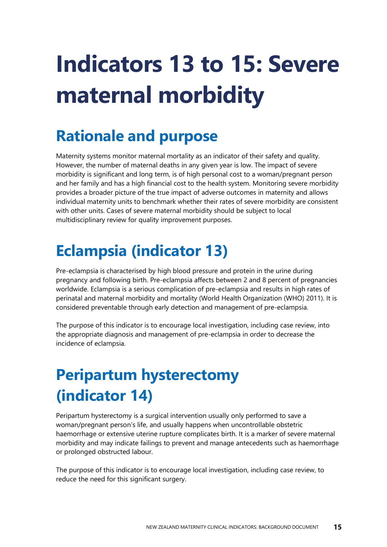# <span id="page-18-0"></span>**Indicators 13 to 15: Severe maternal morbidity**

## <span id="page-18-1"></span>**Rationale and purpose**

Maternity systems monitor maternal mortality as an indicator of their safety and quality. However, the number of maternal deaths in any given year is low. The impact of severe morbidity is significant and long term, is of high personal cost to a woman/pregnant person and her family and has a high financial cost to the health system. Monitoring severe morbidity provides a broader picture of the true impact of adverse outcomes in maternity and allows individual maternity units to benchmark whether their rates of severe morbidity are consistent with other units. Cases of severe maternal morbidity should be subject to local multidisciplinary review for quality improvement purposes.

## <span id="page-18-2"></span>**Eclampsia (indicator 13)**

Pre-eclampsia is characterised by [high blood pressure](http://en.wikipedia.org/wiki/Hypertension) and [protein in the urine](http://en.wikipedia.org/wiki/Proteinuria) during pregnancy and following birth. Pre-eclampsia affects between 2 and 8 percent of pregnancies worldwide. Eclampsia is a serious complication of pre-eclampsia and results in high rates of perinatal and maternal morbidity and mortality (World Health Organization (WHO) 2011). It is considered preventable through early detection and management of pre-eclampsia.

The purpose of this indicator is to encourage local investigation, including case review, into the appropriate diagnosis and management of pre-eclampsia in order to decrease the incidence of eclampsia.

## <span id="page-18-3"></span>**Peripartum hysterectomy (indicator 14)**

Peripartum hysterectomy is a surgical intervention usually only performed to save a woman/pregnant person's life, and usually happens when uncontrollable obstetric haemorrhage or extensive uterine rupture complicates birth. It is a marker of severe maternal morbidity and may indicate failings to prevent and manage antecedents such as haemorrhage or prolonged obstructed labour.

The purpose of this indicator is to encourage local investigation, including case review, to reduce the need for this significant surgery.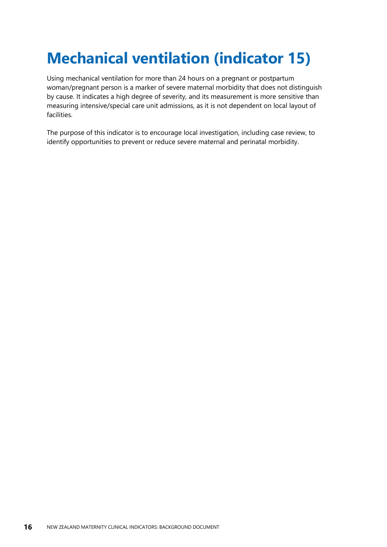## <span id="page-19-0"></span>**Mechanical ventilation (indicator 15)**

Using mechanical ventilation for more than 24 hours on a pregnant or postpartum woman/pregnant person is a marker of severe maternal morbidity that does not distinguish by cause. It indicates a high degree of severity, and its measurement is more sensitive than measuring intensive/special care unit admissions, as it is not dependent on local layout of facilities.

The purpose of this indicator is to encourage local investigation, including case review, to identify opportunities to prevent or reduce severe maternal and perinatal morbidity.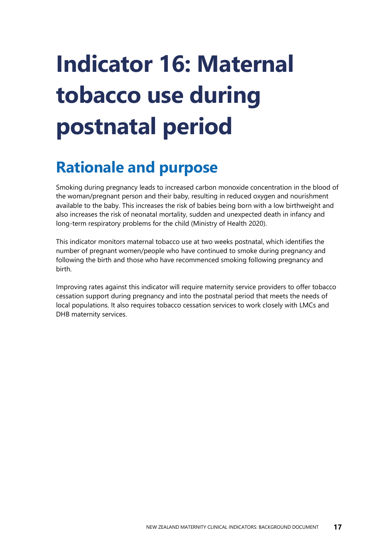# <span id="page-20-0"></span>**Indicator 16: Maternal tobacco use during postnatal period**

## <span id="page-20-1"></span>**Rationale and purpose**

Smoking during pregnancy leads to increased carbon monoxide concentration in the blood of the woman/pregnant person and their baby, resulting in reduced oxygen and nourishment available to the baby. This increases the risk of babies being born with a low birthweight and also increases the risk of neonatal mortality, sudden and unexpected death in infancy and long-term respiratory problems for the child (Ministry of Health 2020).

This indicator monitors maternal tobacco use at two weeks postnatal, which identifies the number of pregnant women/people who have continued to smoke during pregnancy and following the birth and those who have recommenced smoking following pregnancy and birth.

Improving rates against this indicator will require maternity service providers to offer tobacco cessation support during pregnancy and into the postnatal period that meets the needs of local populations. It also requires tobacco cessation services to work closely with LMCs and DHB maternity services.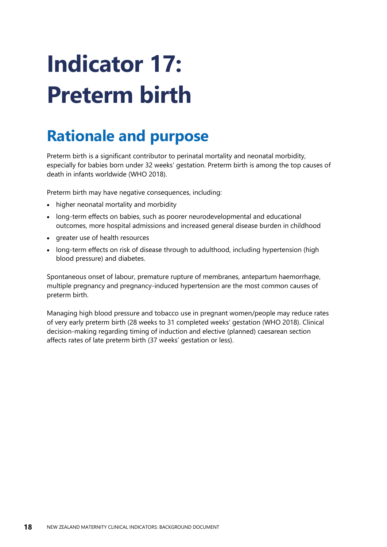# <span id="page-21-0"></span>**Indicator 17: Preterm birth**

## <span id="page-21-1"></span>**Rationale and purpose**

Preterm birth is a significant contributor to perinatal mortality and neonatal morbidity, especially for babies born under 32 weeks' gestation. Preterm birth is among the top causes of death in infants worldwide (WHO 2018).

Preterm birth may have negative consequences, including:

- higher neonatal mortality and morbidity
- long-term effects on babies, such as poorer neurodevelopmental and educational outcomes, more hospital admissions and increased general disease burden in childhood
- greater use of health resources
- long-term effects on risk of disease through to adulthood, including hypertension (high blood pressure) and diabetes.

Spontaneous onset of labour, premature rupture of membranes, antepartum haemorrhage, multiple pregnancy and pregnancy-induced hypertension are the most common causes of preterm birth.

Managing high blood pressure and tobacco use in pregnant women/people may reduce rates of very early preterm birth (28 weeks to 31 completed weeks' gestation (WHO 2018). Clinical decision-making regarding timing of induction and elective (planned) caesarean section affects rates of late preterm birth (37 weeks' gestation or less).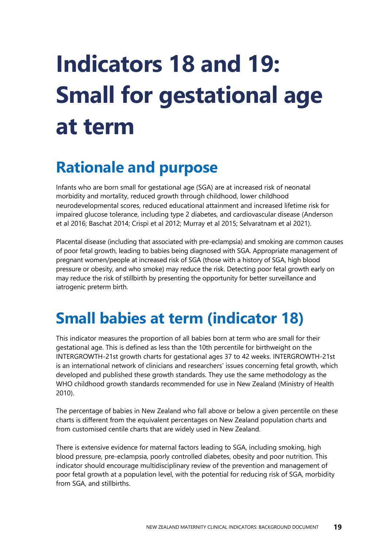# <span id="page-22-0"></span>**Indicators 18 and 19: Small for gestational age at term**

## <span id="page-22-1"></span>**Rationale and purpose**

Infants who are born small for gestational age (SGA) are at increased risk of neonatal morbidity and mortality, reduced growth through childhood, lower childhood neurodevelopmental scores, reduced educational attainment and increased lifetime risk for impaired glucose tolerance, including type 2 diabetes, and cardiovascular disease (Anderson et al 2016; Baschat 2014; Crispi et al 2012; Murray et al 2015; Selvaratnam et al 2021).

Placental disease (including that associated with pre-eclampsia) and smoking are common causes of poor fetal growth, leading to babies being diagnosed with SGA. Appropriate management of pregnant women/people at increased risk of SGA (those with a history of SGA, high blood pressure or obesity, and who smoke) may reduce the risk. Detecting poor fetal growth early on may reduce the risk of stillbirth by presenting the opportunity for better surveillance and iatrogenic preterm birth.

## <span id="page-22-2"></span>**Small babies at term (indicator 18)**

This indicator measures the proportion of all babies born at term who are small for their gestational age. This is defined as less than the 10th percentile for birthweight on the INTERGROWTH-21st growth charts for gestational ages 37 to 42 weeks. INTERGROWTH-21st is an international network of clinicians and researchers' issues concerning fetal growth, which developed and published these growth standards. They use the same methodology as the WHO childhood growth standards recommended for use in New Zealand (Ministry of Health 2010).

The percentage of babies in New Zealand who fall above or below a given percentile on these charts is different from the equivalent percentages on New Zealand population charts and from customised centile charts that are widely used in New Zealand.

There is extensive evidence for maternal factors leading to SGA, including smoking, high blood pressure, pre-eclampsia, poorly controlled diabetes, obesity and poor nutrition. This indicator should encourage multidisciplinary review of the prevention and management of poor fetal growth at a population level, with the potential for reducing risk of SGA, morbidity from SGA, and stillbirths.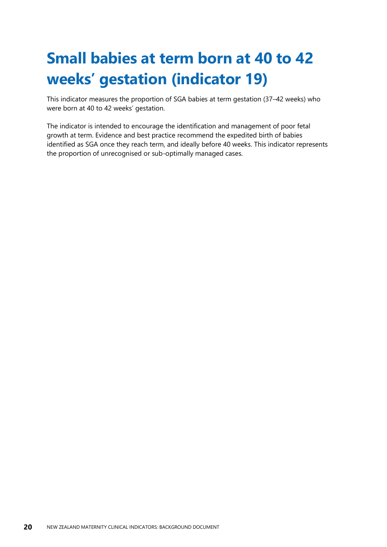## <span id="page-23-0"></span>**Small babies at term born at 40 to 42 weeks' gestation (indicator 19)**

This indicator measures the proportion of SGA babies at term gestation (37–42 weeks) who were born at 40 to 42 weeks' gestation.

The indicator is intended to encourage the identification and management of poor fetal growth at term. Evidence and best practice recommend the expedited birth of babies identified as SGA once they reach term, and ideally before 40 weeks. This indicator represents the proportion of unrecognised or sub-optimally managed cases.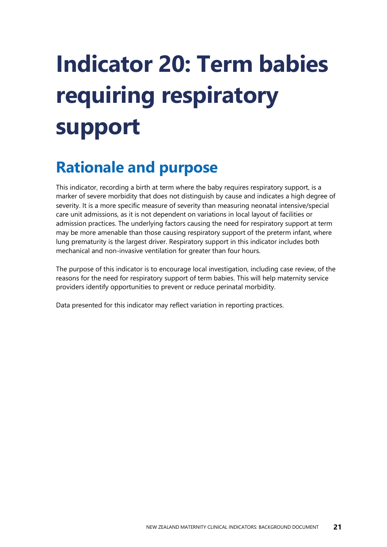# <span id="page-24-0"></span>**Indicator 20: Term babies requiring respiratory support**

## <span id="page-24-1"></span>**Rationale and purpose**

This indicator, recording a birth at term where the baby requires respiratory support, is a marker of severe morbidity that does not distinguish by cause and indicates a high degree of severity. It is a more specific measure of severity than measuring neonatal intensive/special care unit admissions, as it is not dependent on variations in local layout of facilities or admission practices. The underlying factors causing the need for respiratory support at term may be more amenable than those causing respiratory support of the preterm infant, where lung prematurity is the largest driver. Respiratory support in this indicator includes both mechanical and non-invasive ventilation for greater than four hours.

The purpose of this indicator is to encourage local investigation, including case review, of the reasons for the need for respiratory support of term babies. This will help maternity service providers identify opportunities to prevent or reduce perinatal morbidity.

Data presented for this indicator may reflect variation in reporting practices.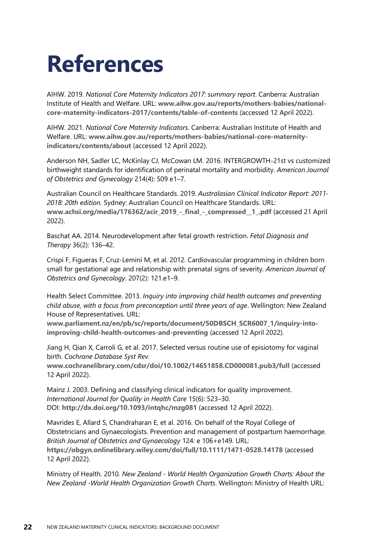## <span id="page-25-0"></span>**References**

AIHW. 2019. *National Core Maternity Indicators 2017: summary report*. Canberra: Australian Institute of Health and Welfare. URL: **[www.aihw.gov.au/reports/mothers-babies/national](http://www.aihw.gov.au/reports/mothers-babies/national-core-maternity-indicators-2017/contents/table-of-contents)[core-maternity-indicators-2017/contents/table-of-contents](http://www.aihw.gov.au/reports/mothers-babies/national-core-maternity-indicators-2017/contents/table-of-contents)** (accessed 12 April 2022).

AIHW. 2021. *National Core Maternity Indicators*. Canberra: Australian Institute of Health and Welfare. URL: **[www.aihw.gov.au/reports/mothers-babies/national-core-maternity](file:///C:/Users/txirafak/AppData/Local/Microsoft/Windows/INetCache/Content.Outlook/1TSCNOOO/www.aihw.gov.au/reports/mothers-babies/national-core-maternity-indicators/contents/about)[indicators/contents/about](file:///C:/Users/txirafak/AppData/Local/Microsoft/Windows/INetCache/Content.Outlook/1TSCNOOO/www.aihw.gov.au/reports/mothers-babies/national-core-maternity-indicators/contents/about)** (accessed 12 April 2022).

Anderson NH, Sadler LC, McKinlay CJ, McCowan LM. 2016. INTERGROWTH-21st vs customized birthweight standards for identification of perinatal mortality and morbidity. *American Journal of Obstetrics and Gynecology* 214(4): 509 e1–7.

Australian Council on Healthcare Standards. 2019. *Australasian Clinical Indicator Report: 2011- 2018: 20th edition.* Sydney: Australian Council on Healthcare Standards. URL: **[www.achsi.org/media/176362/acir\\_2019\\_-\\_final\\_-\\_compressed\\_\\_1\\_.pdf](https://www.achsi.org/media/176362/acir_2019_-_final_-_compressed__1_.pdf)** (accessed 21 April 2022).

Baschat AA. 2014. Neurodevelopment after fetal growth restriction. *Fetal Diagnosis and Therapy* 36(2): 136–42.

Crispi F, Figueras F, Cruz-Lemini M, et al. 2012. Cardiovascular programming in children born small for gestational age and relationship with prenatal signs of severity. *American Journal of Obstetrics and Gynecology*. 207(2): 121.e1–9.

Health Select Committee. 2013. *Inquiry into improving child health outcomes and preventing child abuse, with a focus from preconception until three years of age*. Wellington: New Zealand House of Representatives. URL:

**[www.parliament.nz/en/pb/sc/reports/document/50DBSCH\\_SCR6007\\_1/inquiry-into](file:///C:/Users/txirafak/AppData/Local/Microsoft/Windows/INetCache/Content.Outlook/1TSCNOOO/www.parliament.nz/en/pb/sc/reports/document/50DBSCH_SCR6007_1/inquiry-into-improving-child-health-outcomes-and-preventing)[improving-child-health-outcomes-and-preventing](file:///C:/Users/txirafak/AppData/Local/Microsoft/Windows/INetCache/Content.Outlook/1TSCNOOO/www.parliament.nz/en/pb/sc/reports/document/50DBSCH_SCR6007_1/inquiry-into-improving-child-health-outcomes-and-preventing)** (accessed 12 April 2022).

Jiang H, Qian X, Carroli G, et al. 2017. Selected versus routine use of episiotomy for vaginal birth. *Cochrane Database Syst Rev*.

**[www.cochranelibrary.com/cdsr/doi/10.1002/14651858.CD000081.pub3/full](https://www.cochranelibrary.com/cdsr/doi/10.1002/14651858.CD000081.pub3/full)** (accessed 12 April 2022).

Mainz J. 2003. Defining and classifying clinical indicators for quality improvement. *International Journal for Quality in Health Care* 15(6): 523–30. DOI: **<http://dx.doi.org/10.1093/intqhc/mzg081>** (accessed 12 April 2022).

Mavrides E, Allard S, Chandraharan E, et al. 2016. On behalf of the Royal College of Obstetricians and Gynaecologists. Prevention and management of postpartum haemorrhage. *British Journal of Obstetrics and Gynaecology* 124: e 106+e149. URL: **<https://obgyn.onlinelibrary.wiley.com/doi/full/10.1111/1471-0528.14178>** (accessed 12 April 2022).

Ministry of Health. 2010. *New Zealand - World Health Organization Growth Charts: About the New Zealand -World Health Organization Growth Charts*. Wellington: Ministry of Health URL: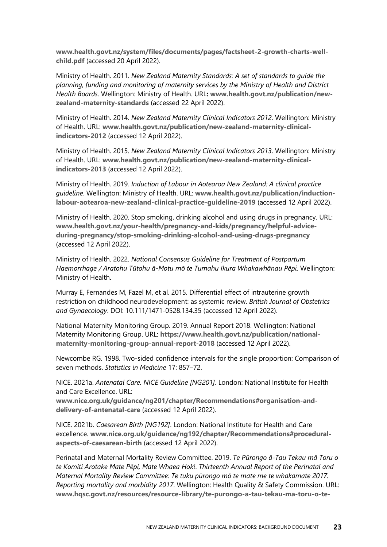**[www.health.govt.nz/system/files/documents/pages/factsheet-2-growth-charts-well](http://www.health.govt.nz/system/files/documents/pages/factsheet-2-growth-charts-well-child.pdf)[child.pdf](http://www.health.govt.nz/system/files/documents/pages/factsheet-2-growth-charts-well-child.pdf)** (accessed 20 April 2022).

Ministry of Health. 2011. *New Zealand Maternity Standards: A set of standards to guide the planning, funding and monitoring of maternity services by the Ministry of Health and District Health Boards*. Wellington: Ministry of Health. URL**: [www.health.govt.nz/publication/new](https://www.health.govt.nz/publication/new-zealand-maternity-standards)[zealand-maternity-standards](https://www.health.govt.nz/publication/new-zealand-maternity-standards)** (accessed 22 April 2022).

Ministry of Health. 2014. *New Zealand Maternity Clinical Indicators 2012*. Wellington: Ministry of Health. URL: **[www.health.govt.nz/publication/new-zealand-maternity-clinical](http://www.health.govt.nz/publication/new-zealand-maternity-clinical-indicators-2012)[indicators-2012](http://www.health.govt.nz/publication/new-zealand-maternity-clinical-indicators-2012)** (accessed 12 April 2022).

Ministry of Health. 2015. *New Zealand Maternity Clinical Indicators 2013*. Wellington: Ministry of Health. URL: **[www.health.govt.nz/publication/new-zealand-maternity-clinical](http://www.health.govt.nz/publication/new-zealand-maternity-clinical-indicators-2013)[indicators-2013](http://www.health.govt.nz/publication/new-zealand-maternity-clinical-indicators-2013)** (accessed 12 April 2022).

Ministry of Health. 2019*. Induction of Labour in Aotearoa New Zealand: A clinical practice guideline*. Wellington: Ministry of Health. URL: **[www.health.govt.nz/publication/induction](https://www.health.govt.nz/publication/induction-labour-aotearoa-new-zealand-clinical-practice-guideline-2019)[labour-aotearoa-new-zealand-clinical-practice-guideline-2019](https://www.health.govt.nz/publication/induction-labour-aotearoa-new-zealand-clinical-practice-guideline-2019)** (accessed 12 April 2022).

Ministry of Health. 2020. Stop smoking, drinking alcohol and using drugs in pregnancy. URL: **[www.health.govt.nz/your-health/pregnancy-and-kids/pregnancy/helpful-advice](http://www.health.govt.nz/your-health/pregnancy-and-kids/pregnancy/helpful-advice-during-pregnancy/stop-smoking-drinking-alcohol-and-using-drugs-pregnancy)[during-pregnancy/stop-smoking-drinking-alcohol-and-using-drugs-pregnancy](http://www.health.govt.nz/your-health/pregnancy-and-kids/pregnancy/helpful-advice-during-pregnancy/stop-smoking-drinking-alcohol-and-using-drugs-pregnancy)** (accessed 12 April 2022).

Ministry of Health. 2022. *National Consensus Guideline for Treatment of Postpartum Haemorrhage / Aratohu Tūtohu ā-Motu mō te Tumahu Ikura Whakawhānau Pēpi*. Wellington: Ministry of Health.

Murray E, Fernandes M, Fazel M, et al. 2015. Differential effect of intrauterine growth restriction on childhood neurodevelopment: as systemic review. *British Journal of Obstetrics and Gynaecology*. DOI: 10.111/1471-0528.134.35 (accessed 12 April 2022).

National Maternity Monitoring Group. 2019. Annual Report 2018. Wellington: National Maternity Monitoring Group. URL: **[https://www.health.govt.nz/publication/national](https://www.health.govt.nz/publication/national-maternity-monitoring-group-annual-report-2018)[maternity-monitoring-group-annual-report-2018](https://www.health.govt.nz/publication/national-maternity-monitoring-group-annual-report-2018)** (accessed 12 April 2022).

Newcombe RG. 1998. Two-sided confidence intervals for the single proportion: Comparison of seven methods. *Statistics in Medicine* 17: 857–72.

NICE. 2021a. *Antenatal Care. NICE Guideline [NG201]*. London: National Institute for Health and Care Excellence. URL:

**[www.nice.org.uk/guidance/ng201/chapter/Recommendations#organisation-and](https://www.nice.org.uk/guidance/ng201/chapter/Recommendations#organisation-and-delivery-of-antenatal-care)[delivery-of-antenatal-care](https://www.nice.org.uk/guidance/ng201/chapter/Recommendations#organisation-and-delivery-of-antenatal-care)** (accessed 12 April 2022).

NICE. 2021b. *Caesarean Birth [NG192]*. London: National Institute for Health and Care excellence. **[www.nice.org.uk/guidance/ng192/chapter/Recommendations#procedural](https://www.nice.org.uk/guidance/ng192/chapter/Recommendations#procedural-aspects-of-caesarean-birth)[aspects-of-caesarean-birth](https://www.nice.org.uk/guidance/ng192/chapter/Recommendations#procedural-aspects-of-caesarean-birth)** (accessed 12 April 2022).

Perinatal and Maternal Mortality Review Committee. 2019. *Te Pūrongo ā-Tau Tekau mā Toru o te Komiti Arotake Mate Pēpi, Mate Whaea Hoki*. *Thirteenth Annual Report of the Perinatal and Maternal Mortality Review Committee: Te tuku pūrongo mō te mate me te whakamate 2017. Reporting mortality and morbidity 2017*. Wellington: Health Quality & Safety Commission. URL: **[www.hqsc.govt.nz/resources/resource-library/te-purongo-a-tau-tekau-ma-toru-o-te-](file:///C:/Users/jryan/AppData/Local/Microsoft/Windows/INetCache/Content.Outlook/M4N5OQVL/www.hqsc.govt.nz/resources/resource-library/te-purongo-a-tau-tekau-ma-toru-o-te-komiti-arotake-mate-pepi-mate-whaea-hoki-thirteenth-annual-report-of-the-perinatal-and-maternal-mortality-review-committee/)**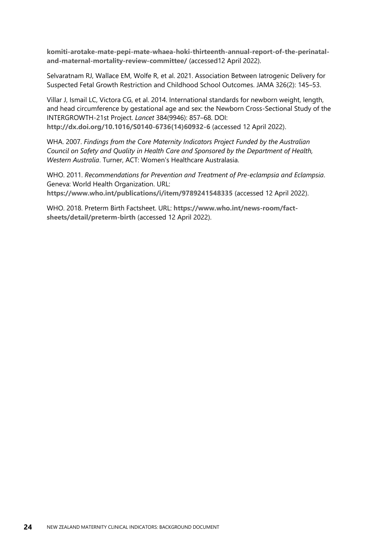**[komiti-arotake-mate-pepi-mate-whaea-hoki-thirteenth-annual-report-of-the-perinatal](file:///C:/Users/jryan/AppData/Local/Microsoft/Windows/INetCache/Content.Outlook/M4N5OQVL/www.hqsc.govt.nz/resources/resource-library/te-purongo-a-tau-tekau-ma-toru-o-te-komiti-arotake-mate-pepi-mate-whaea-hoki-thirteenth-annual-report-of-the-perinatal-and-maternal-mortality-review-committee/)[and-maternal-mortality-review-committee/](file:///C:/Users/jryan/AppData/Local/Microsoft/Windows/INetCache/Content.Outlook/M4N5OQVL/www.hqsc.govt.nz/resources/resource-library/te-purongo-a-tau-tekau-ma-toru-o-te-komiti-arotake-mate-pepi-mate-whaea-hoki-thirteenth-annual-report-of-the-perinatal-and-maternal-mortality-review-committee/)** (accessed12 April 2022).

Selvaratnam RJ, Wallace EM, Wolfe R, et al. 2021. Association Between Iatrogenic Delivery for Suspected Fetal Growth Restriction and Childhood School Outcomes. JAMA 326(2): 145–53.

Villar J, Ismail LC, Victora CG, et al. 2014. International standards for newborn weight, length, and head circumference by gestational age and sex: the Newborn Cross-Sectional Study of the INTERGROWTH-21st Project. *Lancet* 384(9946): 857–68. DOI: **[http://dx.doi.org/10.1016/S0140-6736\(14\)60932-6](http://dx.doi.org/10.1016/S0140-6736(14)60932-6)** (accessed 12 April 2022).

WHA. 2007. *Findings from the Core Maternity Indicators Project Funded by the Australian Council on Safety and Quality in Health Care and Sponsored by the Department of Health, Western Australia*. Turner, ACT: Women's Healthcare Australasia.

WHO. 2011. *Recommendations for Prevention and Treatment of Pre-eclampsia and Eclampsia*. Geneva: World Health Organization. URL: **<https://www.who.int/publications/i/item/9789241548335>** (accessed 12 April 2022).

WHO. 2018. Preterm Birth Factsheet. URL: **[https://www.who.int/news-room/fact](https://www.who.int/news-room/fact-sheets/detail/preterm-birth)[sheets/detail/preterm-birth](https://www.who.int/news-room/fact-sheets/detail/preterm-birth)** (accessed 12 April 2022).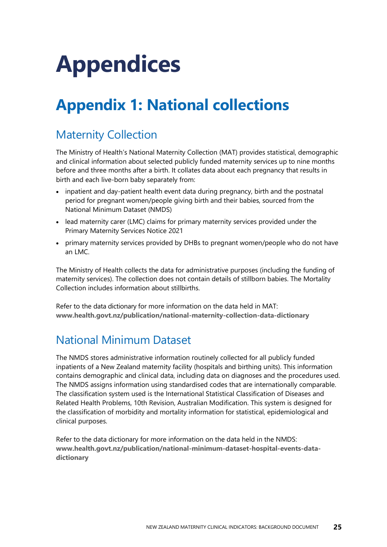# <span id="page-28-0"></span>**Appendices**

## <span id="page-28-1"></span>**Appendix 1: National collections**

### Maternity Collection

The Ministry of Health's National Maternity Collection (MAT) provides statistical, demographic and clinical information about selected publicly funded maternity services up to nine months before and three months after a birth. It collates data about each pregnancy that results in birth and each live-born baby separately from:

- inpatient and day-patient health event data during pregnancy, birth and the postnatal period for pregnant women/people giving birth and their babies, sourced from the National Minimum Dataset (NMDS)
- lead maternity carer (LMC) claims for primary maternity services provided under the Primary Maternity Services Notice 2021
- primary maternity services provided by DHBs to pregnant women/people who do not have an LMC.

The Ministry of Health collects the data for administrative purposes (including the funding of maternity services). The collection does not contain details of stillborn babies. The Mortality Collection includes information about stillbirths.

Refer to the data dictionary for more information on the data held in MAT: **[www.health.govt.nz/publication/national-maternity-collection-data-dictionary](http://www.health.govt.nz/publication/national-maternity-collection-data-dictionary)**

### National Minimum Dataset

The NMDS stores administrative information routinely collected for all publicly funded inpatients of a New Zealand maternity facility (hospitals and birthing units). This information contains demographic and clinical data, including data on diagnoses and the procedures used. The NMDS assigns information using standardised codes that are internationally comparable. The classification system used is the International Statistical Classification of Diseases and Related Health Problems, 10th Revision, Australian Modification. This system is designed for the classification of morbidity and mortality information for statistical, epidemiological and clinical purposes.

Refer to the data dictionary for more information on the data held in the NMDS: **[www.health.govt.nz/publication/national-minimum-dataset-hospital-events-data](http://www.health.govt.nz/publication/national-minimum-dataset-hospital-events-data-dictionary)[dictionary](http://www.health.govt.nz/publication/national-minimum-dataset-hospital-events-data-dictionary)**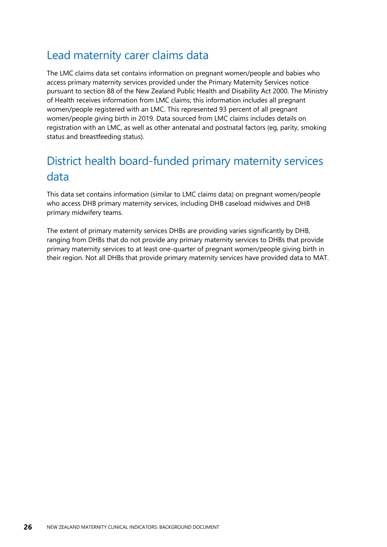#### Lead maternity carer claims data

The LMC claims data set contains information on pregnant women/people and babies who access primary maternity services provided under the Primary Maternity Services notice pursuant to section 88 of the New Zealand Public Health and Disability Act 2000. The Ministry of Health receives information from LMC claims; this information includes all pregnant women/people registered with an LMC. This represented 93 percent of all pregnant women/people giving birth in 2019. Data sourced from LMC claims includes details on registration with an LMC, as well as other antenatal and postnatal factors (eg, parity, smoking status and breastfeeding status).

### District health board-funded primary maternity services data

This data set contains information (similar to LMC claims data) on pregnant women/people who access DHB primary maternity services, including DHB caseload midwives and DHB primary midwifery teams.

The extent of primary maternity services DHBs are providing varies significantly by DHB, ranging from DHBs that do not provide any primary maternity services to DHBs that provide primary maternity services to at least one-quarter of pregnant women/people giving birth in their region. Not all DHBs that provide primary maternity services have provided data to MAT.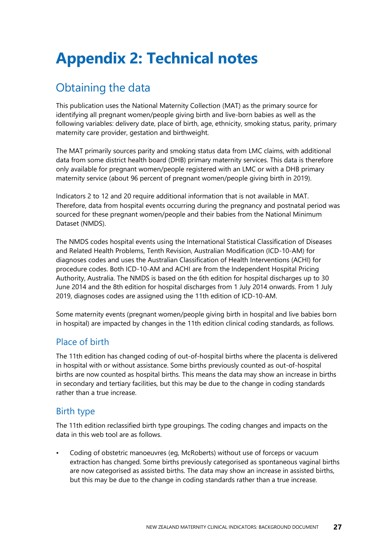## <span id="page-30-0"></span>**Appendix 2: Technical notes**

### Obtaining the data

This publication uses the National Maternity Collection (MAT) as the primary source for identifying all pregnant women/people giving birth and live-born babies as well as the following variables: delivery date, place of birth, age, ethnicity, smoking status, parity, primary maternity care provider, gestation and birthweight.

The MAT primarily sources parity and smoking status data from LMC claims, with additional data from some district health board (DHB) primary maternity services. This data is therefore only available for pregnant women/people registered with an LMC or with a DHB primary maternity service (about 96 percent of pregnant women/people giving birth in 2019).

Indicators 2 to 12 and 20 require additional information that is not available in MAT. Therefore, data from hospital events occurring during the pregnancy and postnatal period was sourced for these pregnant women/people and their babies from the National Minimum Dataset (NMDS).

The NMDS codes hospital events using the International Statistical Classification of Diseases and Related Health Problems, Tenth Revision, Australian Modification (ICD-10-AM) for diagnoses codes and uses the Australian Classification of Health Interventions (ACHI) for procedure codes. Both ICD-10-AM and ACHI are from the Independent Hospital Pricing Authority, Australia. The NMDS is based on the 6th edition for hospital discharges up to 30 June 2014 and the 8th edition for hospital discharges from 1 July 2014 onwards. From 1 July 2019, diagnoses codes are assigned using the 11th edition of ICD-10-AM.

Some maternity events (pregnant women/people giving birth in hospital and live babies born in hospital) are impacted by changes in the 11th edition clinical coding standards, as follows.

#### Place of birth

The 11th edition has changed coding of out-of-hospital births where the placenta is delivered in hospital with or without assistance. Some births previously counted as out-of-hospital births are now counted as hospital births. This means the data may show an increase in births in secondary and tertiary facilities, but this may be due to the change in coding standards rather than a true increase.

#### Birth type

The 11th edition reclassified birth type groupings. The coding changes and impacts on the data in this web tool are as follows.

• Coding of obstetric manoeuvres (eg, McRoberts) without use of forceps or vacuum extraction has changed. Some births previously categorised as spontaneous vaginal births are now categorised as assisted births. The data may show an increase in assisted births, but this may be due to the change in coding standards rather than a true increase.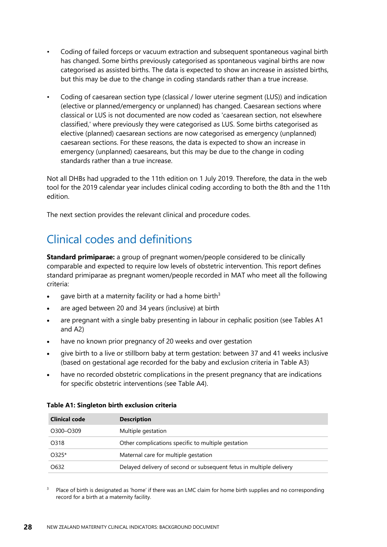- Coding of failed forceps or vacuum extraction and subsequent spontaneous vaginal birth has changed. Some births previously categorised as spontaneous vaginal births are now categorised as assisted births. The data is expected to show an increase in assisted births, but this may be due to the change in coding standards rather than a true increase.
- Coding of caesarean section type (classical / lower uterine segment (LUS)) and indication (elective or planned/emergency or unplanned) has changed. Caesarean sections where classical or LUS is not documented are now coded as 'caesarean section, not elsewhere classified,' where previously they were categorised as LUS. Some births categorised as elective (planned) caesarean sections are now categorised as emergency (unplanned) caesarean sections. For these reasons, the data is expected to show an increase in emergency (unplanned) caesareans, but this may be due to the change in coding standards rather than a true increase.

Not all DHBs had upgraded to the 11th edition on 1 July 2019. Therefore, the data in the web tool for the 2019 calendar year includes clinical coding according to both the 8th and the 11th edition.

The next section provides the relevant clinical and procedure codes.

#### Clinical codes and definitions

**Standard primiparae:** a group of pregnant women/people considered to be clinically comparable and expected to require low levels of obstetric intervention. This report defines standard primiparae as pregnant women/people recorded in MAT who meet all the following criteria:

- gave birth at a maternity facility or had a home birth<sup>3</sup>
- are aged between 20 and 34 years (inclusive) at birth
- are pregnant with a single baby presenting in labour in cephalic position (see Tables A1 and A2)
- have no known prior pregnancy of 20 weeks and over gestation
- give birth to a live or stillborn baby at term gestation: between 37 and 41 weeks inclusive (based on gestational age recorded for the baby and exclusion criteria in Table A3)
- have no recorded obstetric complications in the present pregnancy that are indications for specific obstetric interventions (see Table A4).

| Clinical code | <b>Description</b>                                                  |
|---------------|---------------------------------------------------------------------|
| O300-O309     | Multiple gestation                                                  |
| O318          | Other complications specific to multiple gestation                  |
| O325*         | Maternal care for multiple gestation                                |
| O632          | Delayed delivery of second or subsequent fetus in multiple delivery |

#### <span id="page-31-0"></span>**Table A1: Singleton birth exclusion criteria**

<sup>3</sup> Place of birth is designated as 'home' if there was an LMC claim for home birth supplies and no corresponding record for a birth at a maternity facility.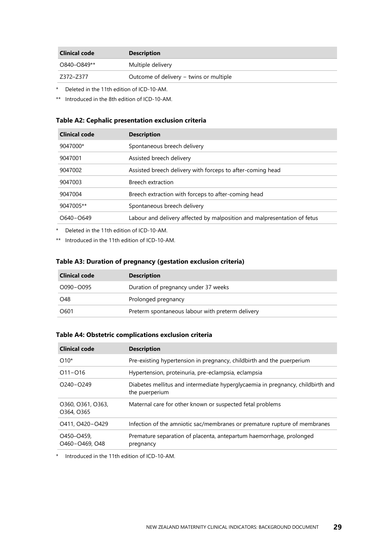| Clinical code | <b>Description</b>                      |
|---------------|-----------------------------------------|
| O840-O849**   | Multiple delivery                       |
| 7372–7377     | Outcome of delivery – twins or multiple |

\* Deleted in the 11th edition of ICD-10-AM.

\*\* Introduced in the 8th edition of ICD-10-AM.

#### <span id="page-32-0"></span>**Table A2: Cephalic presentation exclusion criteria**

| <b>Clinical code</b> | <b>Description</b>                                                       |
|----------------------|--------------------------------------------------------------------------|
| 9047000*             | Spontaneous breech delivery                                              |
| 9047001              | Assisted breech delivery                                                 |
| 9047002              | Assisted breech delivery with forceps to after-coming head               |
| 9047003              | Breech extraction                                                        |
| 9047004              | Breech extraction with forceps to after-coming head                      |
| 9047005**            | Spontaneous breech delivery                                              |
| $O640 - O649$        | Labour and delivery affected by malposition and malpresentation of fetus |
|                      |                                                                          |

\* Deleted in the 11th edition of ICD-10-AM.

\*\* Introduced in the 11th edition of ICD-10-AM.

#### <span id="page-32-1"></span>**Table A3: Duration of pregnancy (gestation exclusion criteria)**

| <b>Clinical code</b> | <b>Description</b>                               |
|----------------------|--------------------------------------------------|
| O090-O095            | Duration of pregnancy under 37 weeks             |
| O48                  | Prolonged pregnancy                              |
| O601                 | Preterm spontaneous labour with preterm delivery |

#### <span id="page-32-2"></span>**Table A4: Obstetric complications exclusion criteria**

| <b>Clinical code</b>            | <b>Description</b>                                                                               |
|---------------------------------|--------------------------------------------------------------------------------------------------|
| $O10*$                          | Pre-existing hypertension in pregnancy, childbirth and the puerperium                            |
| $O11 - O16$                     | Hypertension, proteinuria, pre-eclampsia, eclampsia                                              |
| $O240 - O249$                   | Diabetes mellitus and intermediate hyperglycaemia in pregnancy, childbirth and<br>the puerperium |
| O360, O361, O363,<br>O364, O365 | Maternal care for other known or suspected fetal problems                                        |
| O411, O420-O429                 | Infection of the amniotic sac/membranes or premature rupture of membranes                        |
| O450-O459,<br>O460-O469, O48    | Premature separation of placenta, antepartum haemorrhage, prolonged<br>pregnancy                 |

\* Introduced in the 11th edition of ICD-10-AM.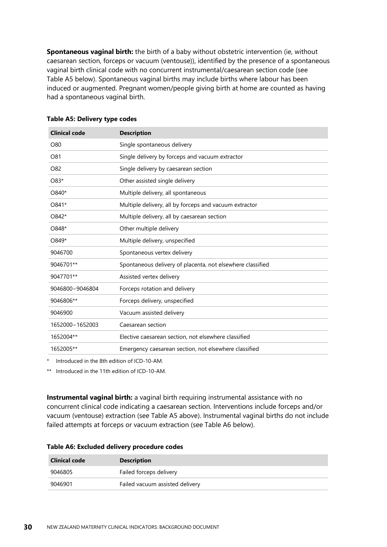**Spontaneous vaginal birth:** the birth of a baby without obstetric intervention (ie, without caesarean section, forceps or vacuum (ventouse)), identified by the presence of a spontaneous vaginal birth clinical code with no concurrent instrumental/caesarean section code (see Table A5 below). Spontaneous vaginal births may include births where labour has been induced or augmented. Pregnant women/people giving birth at home are counted as having had a spontaneous vaginal birth.

| <b>Clinical code</b> | <b>Description</b>                                         |
|----------------------|------------------------------------------------------------|
| O80                  | Single spontaneous delivery                                |
| O81                  | Single delivery by forceps and vacuum extractor            |
| O82                  | Single delivery by caesarean section                       |
| O83*                 | Other assisted single delivery                             |
| O840*                | Multiple delivery, all spontaneous                         |
| O841*                | Multiple delivery, all by forceps and vacuum extractor     |
| O842*                | Multiple delivery, all by caesarean section                |
| O848*                | Other multiple delivery                                    |
| O849*                | Multiple delivery, unspecified                             |
| 9046700              | Spontaneous vertex delivery                                |
| 9046701**            | Spontaneous delivery of placenta, not elsewhere classified |
| 9047701**            | Assisted vertex delivery                                   |
| 9046800-9046804      | Forceps rotation and delivery                              |
| 9046806**            | Forceps delivery, unspecified                              |
| 9046900              | Vacuum assisted delivery                                   |
| 1652000-1652003      | Caesarean section                                          |
| 1652004**            | Elective caesarean section, not elsewhere classified       |
| 1652005**            | Emergency caesarean section, not elsewhere classified      |
|                      |                                                            |

#### <span id="page-33-0"></span>**Table A5: Delivery type codes**

\* Introduced in the 8th edition of ICD-10-AM.

\*\* Introduced in the 11th edition of ICD-10-AM.

**Instrumental vaginal birth:** a vaginal birth requiring instrumental assistance with no concurrent clinical code indicating a caesarean section. Interventions include forceps and/or vacuum (ventouse) extraction (see Table A5 above). Instrumental vaginal births do not include failed attempts at forceps or vacuum extraction (see Table A6 below).

#### <span id="page-33-1"></span>**Table A6: Excluded delivery procedure codes**

| Clinical code | <b>Description</b>              |
|---------------|---------------------------------|
| 9046805       | Failed forceps delivery         |
| 9046901       | Failed vacuum assisted delivery |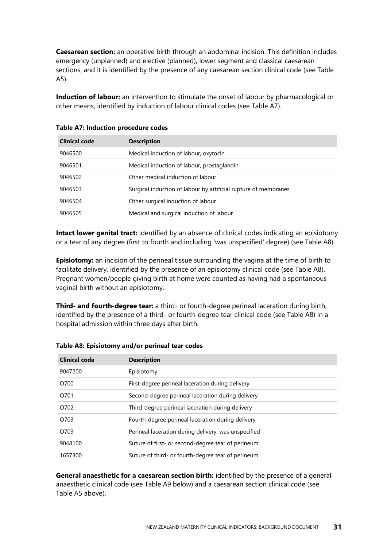**Caesarean section:** an operative birth through an abdominal incision. This definition includes emergency (unplanned) and elective (planned), lower segment and classical caesarean sections, and it is identified by the presence of any caesarean section clinical code (see Table A5).

**Induction of labour:** an intervention to stimulate the onset of labour by pharmacological or other means, identified by induction of labour clinical codes (see Table A7).

| <b>Clinical code</b> | <b>Description</b>                                              |
|----------------------|-----------------------------------------------------------------|
| 9046500              | Medical induction of labour, oxytocin                           |
| 9046501              | Medical induction of labour, prostaglandin                      |
| 9046502              | Other medical induction of labour                               |
| 9046503              | Surgical induction of labour by artificial rupture of membranes |
| 9046504              | Other surgical induction of labour                              |
| 9046505              | Medical and surgical induction of labour                        |

<span id="page-34-0"></span>

| <b>Table A7: Induction procedure codes</b> |  |  |
|--------------------------------------------|--|--|
|--------------------------------------------|--|--|

**Intact lower genital tract:** identified by an absence of clinical codes indicating an episiotomy or a tear of any degree (first to fourth and including 'was unspecified' degree) (see Table A8).

**Episiotomy:** an incision of the perineal tissue surrounding the vagina at the time of birth to facilitate delivery, identified by the presence of an episiotomy clinical code (see Table A8). Pregnant women/people giving birth at home were counted as having had a spontaneous vaginal birth without an episiotomy.

**Third- and fourth-degree tear:** a third- or fourth-degree perineal laceration during birth, identified by the presence of a third- or fourth-degree tear clinical code (see Table A8) in a hospital admission within three days after birth.

| <b>Clinical code</b> | <b>Description</b>                                   |
|----------------------|------------------------------------------------------|
| 9047200              | Episiotomy                                           |
| O700                 | First-degree perineal laceration during delivery     |
| O701                 | Second-degree perineal laceration during delivery    |
| O702                 | Third-degree perineal laceration during delivery     |
| O703                 | Fourth-degree perineal laceration during delivery    |
| O709                 | Perineal laceration during delivery, was unspecified |
| 9048100              | Suture of first- or second-degree tear of perineum   |
| 1657300              | Suture of third- or fourth-degree tear of perineum   |

<span id="page-34-1"></span>**Table A8: Episiotomy and/or perineal tear codes**

**General anaesthetic for a caesarean section birth:** identified by the presence of a general anaesthetic clinical code (see Table A9 below) and a caesarean section clinical code (see Table A5 above).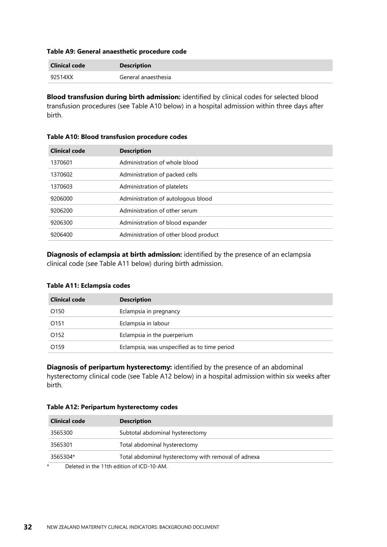#### <span id="page-35-0"></span>**Table A9: General anaesthetic procedure code**

| <b>Clinical code</b> | <b>Description</b>  |
|----------------------|---------------------|
| 92514XX              | General anaesthesia |

**Blood transfusion during birth admission:** identified by clinical codes for selected blood transfusion procedures (see Table A10 below) in a hospital admission within three days after birth.

| <b>Clinical code</b> | <b>Description</b>                    |
|----------------------|---------------------------------------|
| 1370601              | Administration of whole blood         |
| 1370602              | Administration of packed cells        |
| 1370603              | Administration of platelets           |
| 9206000              | Administration of autologous blood    |
| 9206200              | Administration of other serum         |
| 9206300              | Administration of blood expander      |
| 9206400              | Administration of other blood product |

#### <span id="page-35-1"></span>**Table A10: Blood transfusion procedure codes**

**Diagnosis of eclampsia at birth admission:** identified by the presence of an eclampsia clinical code (see Table A11 below) during birth admission.

#### <span id="page-35-2"></span>**Table A11: Eclampsia codes**

birth.

| <b>Clinical code</b> | <b>Description</b>                           |
|----------------------|----------------------------------------------|
| O <sub>150</sub>     | Eclampsia in pregnancy                       |
| O <sub>151</sub>     | Eclampsia in labour                          |
| O <sub>152</sub>     | Eclampsia in the puerperium                  |
| O <sub>159</sub>     | Eclampsia, was unspecified as to time period |

**Diagnosis of peripartum hysterectomy:** identified by the presence of an abdominal hysterectomy clinical code (see Table A12 below) in a hospital admission within six weeks after

<span id="page-35-3"></span>**Table A12: Peripartum hysterectomy codes**

| Clinical code | <b>Description</b>                                  |  |
|---------------|-----------------------------------------------------|--|
| 3565300       | Subtotal abdominal hysterectomy                     |  |
| 3565301       | Total abdominal hysterectomy                        |  |
| 3565304*      | Total abdominal hysterectomy with removal of adnexa |  |
|               | Delated in the 11th edition of ICD-10-AM            |  |

Deleted in the 11th edition of ICD-10-AM.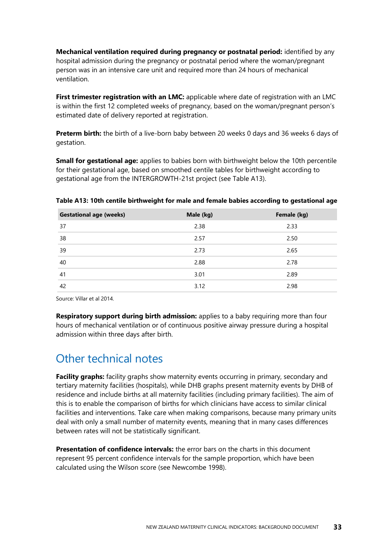**Mechanical ventilation required during pregnancy or postnatal period:** identified by any hospital admission during the pregnancy or postnatal period where the woman/pregnant person was in an intensive care unit and required more than 24 hours of mechanical ventilation.

First trimester registration with an LMC: applicable where date of registration with an LMC is within the first 12 completed weeks of pregnancy, based on the woman/pregnant person's estimated date of delivery reported at registration.

**Preterm birth:** the birth of a live-born baby between 20 weeks 0 days and 36 weeks 6 days of gestation.

**Small for gestational age:** applies to babies born with birthweight below the 10th percentile for their gestational age, based on smoothed centile tables for birthweight according to gestational age from the INTERGROWTH-21st project (see Table A13).

| <b>Gestational age (weeks)</b> | Male (kg) | Female (kg) |
|--------------------------------|-----------|-------------|
| 37                             | 2.38      | 2.33        |
| 38                             | 2.57      | 2.50        |
| 39                             | 2.73      | 2.65        |
| 40                             | 2.88      | 2.78        |
| 41                             | 3.01      | 2.89        |
| 42                             | 3.12      | 2.98        |

<span id="page-36-0"></span>**Table A13: 10th centile birthweight for male and female babies according to gestational age**

Source: Villar et al 2014.

**Respiratory support during birth admission:** applies to a baby requiring more than four hours of mechanical ventilation or of continuous positive airway pressure during a hospital admission within three days after birth.

#### Other technical notes

Facility graphs: facility graphs show maternity events occurring in primary, secondary and tertiary maternity facilities (hospitals), while DHB graphs present maternity events by DHB of residence and include births at all maternity facilities (including primary facilities). The aim of this is to enable the comparison of births for which clinicians have access to similar clinical facilities and interventions. Take care when making comparisons, because many primary units deal with only a small number of maternity events, meaning that in many cases differences between rates will not be statistically significant.

**Presentation of confidence intervals:** the error bars on the charts in this document represent 95 percent confidence intervals for the sample proportion, which have been calculated using the Wilson score (see Newcombe 1998).